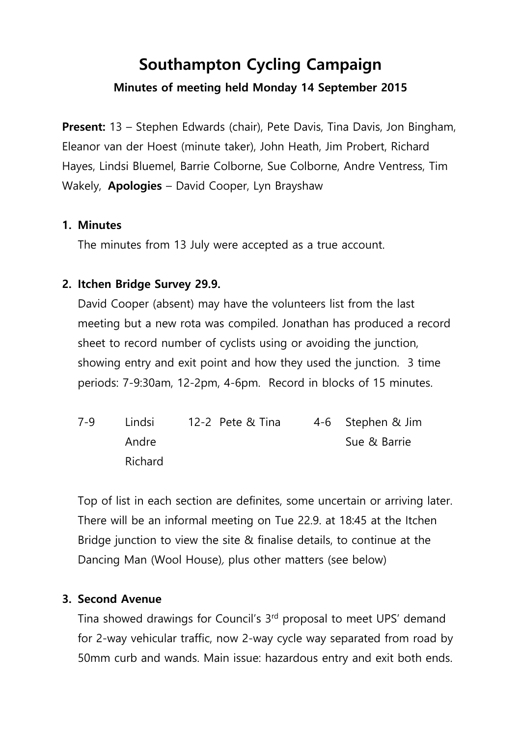# **Southampton Cycling Campaign Minutes of meeting held Monday 14 September 2015**

**Present:** 13 – Stephen Edwards (chair), Pete Davis, Tina Davis, Jon Bingham, Eleanor van der Hoest (minute taker), John Heath, Jim Probert, Richard Hayes, Lindsi Bluemel, Barrie Colborne, Sue Colborne, Andre Ventress, Tim Wakely, **Apologies** – David Cooper, Lyn Brayshaw

#### **1. Minutes**

The minutes from 13 July were accepted as a true account.

#### **2. Itchen Bridge Survey 29.9.**

David Cooper (absent) may have the volunteers list from the last meeting but a new rota was compiled. Jonathan has produced a record sheet to record number of cyclists using or avoiding the junction, showing entry and exit point and how they used the junction. 3 time periods: 7-9:30am, 12-2pm, 4-6pm. Record in blocks of 15 minutes.

| $7 - 9$ | Lindsi  | 12-2 Pete & Tina | 4-6 Stephen & Jim |
|---------|---------|------------------|-------------------|
|         | Andre   |                  | Sue & Barrie      |
|         | Richard |                  |                   |

Top of list in each section are definites, some uncertain or arriving later. There will be an informal meeting on Tue 22.9. at 18:45 at the Itchen Bridge junction to view the site & finalise details, to continue at the Dancing Man (Wool House), plus other matters (see below)

#### **3. Second Avenue**

Tina showed drawings for Council's 3<sup>rd</sup> proposal to meet UPS' demand for 2-way vehicular traffic, now 2-way cycle way separated from road by 50mm curb and wands. Main issue: hazardous entry and exit both ends.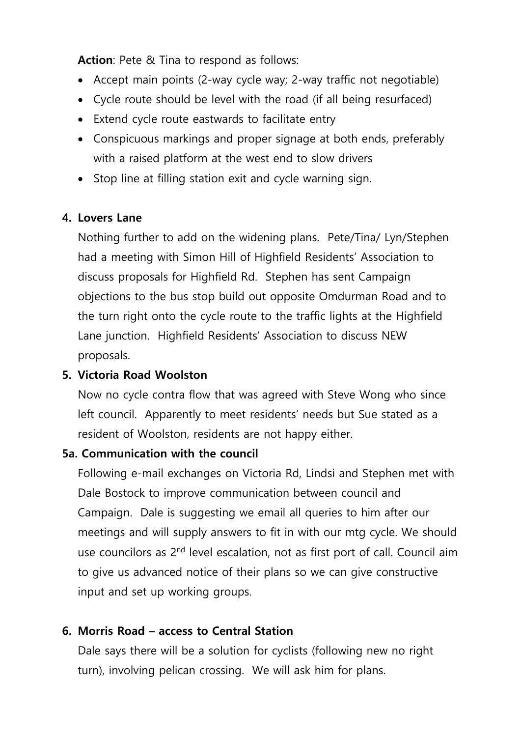**Action**: Pete & Tina to respond as follows:

- Accept main points (2-way cycle way; 2-way traffic not negotiable)
- Cycle route should be level with the road (if all being resurfaced)
- Extend cycle route eastwards to facilitate entry
- Conspicuous markings and proper signage at both ends, preferably with a raised platform at the west end to slow drivers
- Stop line at filling station exit and cycle warning sign.

# **4. Lovers Lane**

Nothing further to add on the widening plans. Pete/Tina/ Lyn/Stephen had a meeting with Simon Hill of Highfield Residents' Association to discuss proposals for Highfield Rd. Stephen has sent Campaign objections to the bus stop build out opposite Omdurman Road and to the turn right onto the cycle route to the traffic lights at the Highfield Lane junction. Highfield Residents' Association to discuss NEW proposals.

# **5. Victoria Road Woolston**

Now no cycle contra flow that was agreed with Steve Wong who since left council. Apparently to meet residents' needs but Sue stated as a resident of Woolston, residents are not happy either.

#### **5a. Communication with the council**

Following e-mail exchanges on Victoria Rd, Lindsi and Stephen met with Dale Bostock to improve communication between council and Campaign. Dale is suggesting we email all queries to him after our meetings and will supply answers to fit in with our mtg cycle. We should use councilors as 2<sup>nd</sup> level escalation, not as first port of call. Council aim to give us advanced notice of their plans so we can give constructive input and set up working groups.

# **6. Morris Road – access to Central Station**

Dale says there will be a solution for cyclists (following new no right turn), involving pelican crossing. We will ask him for plans.